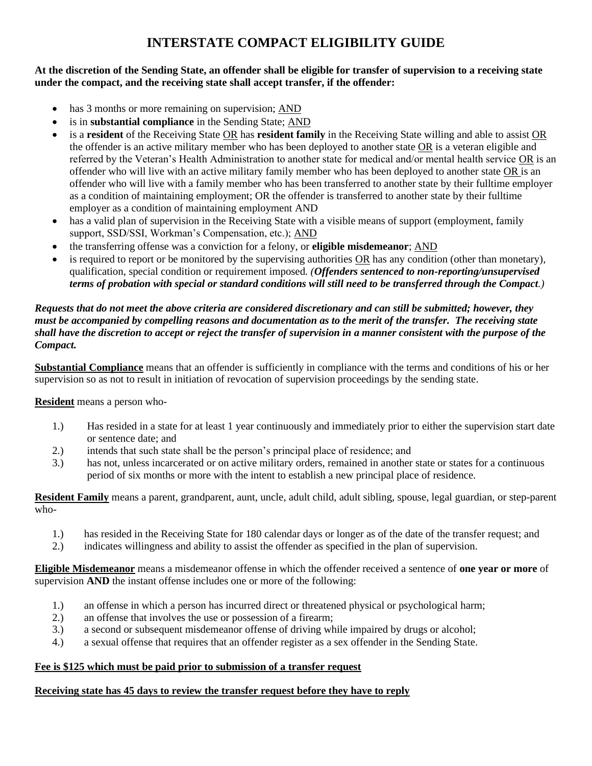# **INTERSTATE COMPACT ELIGIBILITY GUIDE**

### **At the discretion of the Sending State, an offender shall be eligible for transfer of supervision to a receiving state under the compact, and the receiving state shall accept transfer, if the offender:**

- has 3 months or more remaining on supervision; AND
- is in **substantial compliance** in the Sending State; AND
- is a **resident** of the Receiving State OR has **resident family** in the Receiving State willing and able to assist OR the offender is an active military member who has been deployed to another state OR is a veteran eligible and referred by the Veteran's Health Administration to another state for medical and/or mental health service OR is an offender who will live with an active military family member who has been deployed to another state OR is an offender who will live with a family member who has been transferred to another state by their fulltime employer as a condition of maintaining employment; OR the offender is transferred to another state by their fulltime employer as a condition of maintaining employment AND
- has a valid plan of supervision in the Receiving State with a visible means of support (employment, family support, SSD/SSI, Workman's Compensation, etc.); AND
- the transferring offense was a conviction for a felony, or **eligible misdemeanor**; AND
- is required to report or be monitored by the supervising authorities OR has any condition (other than monetary), qualification, special condition or requirement imposed. *(Offenders sentenced to non-reporting/unsupervised terms of probation with special or standard conditions will still need to be transferred through the Compact.)*

#### *Requests that do not meet the above criteria are considered discretionary and can still be submitted; however, they must be accompanied by compelling reasons and documentation as to the merit of the transfer. The receiving state shall have the discretion to accept or reject the transfer of supervision in a manner consistent with the purpose of the Compact.*

**Substantial Compliance** means that an offender is sufficiently in compliance with the terms and conditions of his or her supervision so as not to result in initiation of revocation of supervision proceedings by the sending state.

**Resident** means a person who-

- 1.) Has resided in a state for at least 1 year continuously and immediately prior to either the supervision start date or sentence date; and
- 2.) intends that such state shall be the person's principal place of residence; and
- 3.) has not, unless incarcerated or on active military orders, remained in another state or states for a continuous period of six months or more with the intent to establish a new principal place of residence.

**Resident Family** means a parent, grandparent, aunt, uncle, adult child, adult sibling, spouse, legal guardian, or step-parent who-

- 1.) has resided in the Receiving State for 180 calendar days or longer as of the date of the transfer request; and
- 2.) indicates willingness and ability to assist the offender as specified in the plan of supervision.

**Eligible Misdemeanor** means a misdemeanor offense in which the offender received a sentence of **one year or more** of supervision **AND** the instant offense includes one or more of the following:

- 1.) an offense in which a person has incurred direct or threatened physical or psychological harm;
- 2.) an offense that involves the use or possession of a firearm;
- 3.) a second or subsequent misdemeanor offense of driving while impaired by drugs or alcohol;
- 4.) a sexual offense that requires that an offender register as a sex offender in the Sending State.

## **Fee is \$125 which must be paid prior to submission of a transfer request**

## **Receiving state has 45 days to review the transfer request before they have to reply**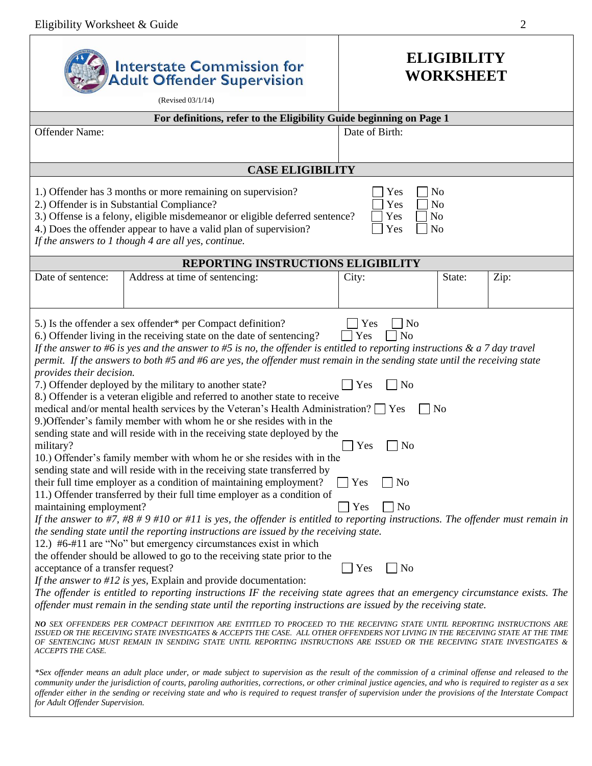$\overline{\phantom{a}}$ 

|                                                                                                                                                                                                                                                                                                                                                                                                                                                                                                                 | <b>Interstate Commission for</b><br><b>Adult Offender Supervision</b><br>(Revised 03/1/14)                                                                                                                                                                                                                                                                                                                                                                                                                                                                                                                                                                                                                                                                                                                                                                                                                                                                                                                                                                                                                                                                                                                                                                                                                                                                                                                                                                                                                                                                                                                                                                                                                                                                                                                                                                                                                                                                                                                                                                                                                                                                                                    | <b>ELIGIBILITY</b><br><b>WORKSHEET</b>                                                                                                                     |                |      |  |  |  |  |  |  |
|-----------------------------------------------------------------------------------------------------------------------------------------------------------------------------------------------------------------------------------------------------------------------------------------------------------------------------------------------------------------------------------------------------------------------------------------------------------------------------------------------------------------|-----------------------------------------------------------------------------------------------------------------------------------------------------------------------------------------------------------------------------------------------------------------------------------------------------------------------------------------------------------------------------------------------------------------------------------------------------------------------------------------------------------------------------------------------------------------------------------------------------------------------------------------------------------------------------------------------------------------------------------------------------------------------------------------------------------------------------------------------------------------------------------------------------------------------------------------------------------------------------------------------------------------------------------------------------------------------------------------------------------------------------------------------------------------------------------------------------------------------------------------------------------------------------------------------------------------------------------------------------------------------------------------------------------------------------------------------------------------------------------------------------------------------------------------------------------------------------------------------------------------------------------------------------------------------------------------------------------------------------------------------------------------------------------------------------------------------------------------------------------------------------------------------------------------------------------------------------------------------------------------------------------------------------------------------------------------------------------------------------------------------------------------------------------------------------------------------|------------------------------------------------------------------------------------------------------------------------------------------------------------|----------------|------|--|--|--|--|--|--|
|                                                                                                                                                                                                                                                                                                                                                                                                                                                                                                                 | For definitions, refer to the Eligibility Guide beginning on Page 1                                                                                                                                                                                                                                                                                                                                                                                                                                                                                                                                                                                                                                                                                                                                                                                                                                                                                                                                                                                                                                                                                                                                                                                                                                                                                                                                                                                                                                                                                                                                                                                                                                                                                                                                                                                                                                                                                                                                                                                                                                                                                                                           |                                                                                                                                                            |                |      |  |  |  |  |  |  |
| Offender Name:                                                                                                                                                                                                                                                                                                                                                                                                                                                                                                  | Date of Birth:                                                                                                                                                                                                                                                                                                                                                                                                                                                                                                                                                                                                                                                                                                                                                                                                                                                                                                                                                                                                                                                                                                                                                                                                                                                                                                                                                                                                                                                                                                                                                                                                                                                                                                                                                                                                                                                                                                                                                                                                                                                                                                                                                                                |                                                                                                                                                            |                |      |  |  |  |  |  |  |
| <b>CASE ELIGIBILITY</b>                                                                                                                                                                                                                                                                                                                                                                                                                                                                                         |                                                                                                                                                                                                                                                                                                                                                                                                                                                                                                                                                                                                                                                                                                                                                                                                                                                                                                                                                                                                                                                                                                                                                                                                                                                                                                                                                                                                                                                                                                                                                                                                                                                                                                                                                                                                                                                                                                                                                                                                                                                                                                                                                                                               |                                                                                                                                                            |                |      |  |  |  |  |  |  |
| 1.) Offender has 3 months or more remaining on supervision?<br>Yes<br>No<br>2.) Offender is in Substantial Compliance?<br>Yes<br>No<br>3.) Offense is a felony, eligible misdemeanor or eligible deferred sentence?<br>Yes<br>N <sub>o</sub><br>4.) Does the offender appear to have a valid plan of supervision?<br>Yes<br>N <sub>o</sub><br>If the answers to 1 though 4 are all yes, continue.                                                                                                               |                                                                                                                                                                                                                                                                                                                                                                                                                                                                                                                                                                                                                                                                                                                                                                                                                                                                                                                                                                                                                                                                                                                                                                                                                                                                                                                                                                                                                                                                                                                                                                                                                                                                                                                                                                                                                                                                                                                                                                                                                                                                                                                                                                                               |                                                                                                                                                            |                |      |  |  |  |  |  |  |
| REPORTING INSTRUCTIONS ELIGIBILITY                                                                                                                                                                                                                                                                                                                                                                                                                                                                              |                                                                                                                                                                                                                                                                                                                                                                                                                                                                                                                                                                                                                                                                                                                                                                                                                                                                                                                                                                                                                                                                                                                                                                                                                                                                                                                                                                                                                                                                                                                                                                                                                                                                                                                                                                                                                                                                                                                                                                                                                                                                                                                                                                                               |                                                                                                                                                            |                |      |  |  |  |  |  |  |
| Date of sentence:                                                                                                                                                                                                                                                                                                                                                                                                                                                                                               | Address at time of sentencing:                                                                                                                                                                                                                                                                                                                                                                                                                                                                                                                                                                                                                                                                                                                                                                                                                                                                                                                                                                                                                                                                                                                                                                                                                                                                                                                                                                                                                                                                                                                                                                                                                                                                                                                                                                                                                                                                                                                                                                                                                                                                                                                                                                | City:                                                                                                                                                      | State:         | Zip: |  |  |  |  |  |  |
| provides their decision.<br>military?<br>maintaining employment?<br>acceptance of a transfer request?<br>ACCEPTS THE CASE.                                                                                                                                                                                                                                                                                                                                                                                      | 5.) Is the offender a sex offender* per Compact definition?<br>6.) Offender living in the receiving state on the date of sentencing?<br>If the answer to #6 is yes and the answer to #5 is no, the offender is entitled to reporting instructions $\&$ a 7 day travel<br>permit. If the answers to both #5 and #6 are yes, the offender must remain in the sending state until the receiving state<br>7.) Offender deployed by the military to another state?<br>8.) Offender is a veteran eligible and referred to another state to receive<br>medical and/or mental health services by the Veteran's Health Administration? $\Box$ Yes<br>9.) Offender's family member with whom he or she resides with in the<br>sending state and will reside with in the receiving state deployed by the<br>10.) Offender's family member with whom he or she resides with in the<br>sending state and will reside with in the receiving state transferred by<br>their full time employer as a condition of maintaining employment?<br>11.) Offender transferred by their full time employer as a condition of<br>If the answer to #7, #8 # 9 #10 or #11 is yes, the offender is entitled to reporting instructions. The offender must remain in<br>the sending state until the reporting instructions are issued by the receiving state.<br>12.) #6-#11 are "No" but emergency circumstances exist in which<br>the offender should be allowed to go to the receiving state prior to the<br>If the answer to $#12$ is yes, Explain and provide documentation:<br>The offender is entitled to reporting instructions IF the receiving state agrees that an emergency circumstance exists. The<br>offender must remain in the sending state until the reporting instructions are issued by the receiving state.<br>NO SEX OFFENDERS PER COMPACT DEFINITION ARE ENTITLED TO PROCEED TO THE RECEIVING STATE UNTIL REPORTING INSTRUCTIONS ARE<br>ISSUED OR THE RECEIVING STATE INVESTIGATES & ACCEPTS THE CASE. ALL OTHER OFFENDERS NOT LIVING IN THE RECEIVING STATE AT THE TIME<br>OF SENTENCING MUST REMAIN IN SENDING STATE UNTIL REPORTING INSTRUCTIONS ARE ISSUED OR THE RECEIVING STATE INVESTIGATES & | Yes<br>$\Box$ No<br>N <sub>0</sub><br>Yes<br>N <sub>o</sub><br>Yes<br>N <sub>o</sub><br>Yes<br>Yes<br>No<br>Yes<br>N <sub>0</sub><br>Yes<br>N <sub>o</sub> | N <sub>o</sub> |      |  |  |  |  |  |  |
| *Sex offender means an adult place under, or made subject to supervision as the result of the commission of a criminal offense and released to the<br>community under the jurisdiction of courts, paroling authorities, corrections, or other criminal justice agencies, and who is required to register as a sex<br>offender either in the sending or receiving state and who is required to request transfer of supervision under the provisions of the Interstate Compact<br>for Adult Offender Supervision. |                                                                                                                                                                                                                                                                                                                                                                                                                                                                                                                                                                                                                                                                                                                                                                                                                                                                                                                                                                                                                                                                                                                                                                                                                                                                                                                                                                                                                                                                                                                                                                                                                                                                                                                                                                                                                                                                                                                                                                                                                                                                                                                                                                                               |                                                                                                                                                            |                |      |  |  |  |  |  |  |